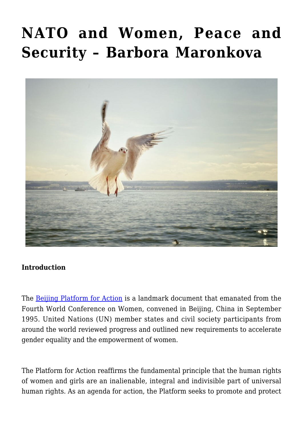# **[NATO and Women, Peace and](https://www.uikpanorama.com/blog/2020/04/22/nato-and-women-peace-and-security/) [Security – Barbora Maronkova](https://www.uikpanorama.com/blog/2020/04/22/nato-and-women-peace-and-security/)**



#### **Introduction**

The **Beijing Platform for Action** is a landmark document that emanated from the Fourth World Conference on Women, convened in Beijing, China in September 1995. United Nations (UN) member states and civil society participants from around the world reviewed progress and outlined new requirements to accelerate gender equality and the empowerment of women.

The Platform for Action reaffirms the fundamental principle that the human rights of women and girls are an inalienable, integral and indivisible part of universal human rights. As an agenda for action, the Platform seeks to promote and protect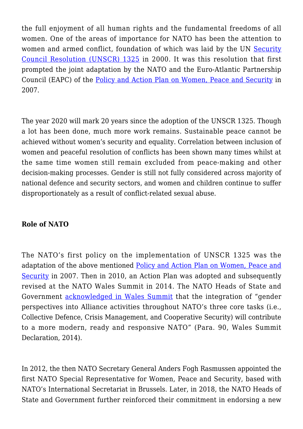the full enjoyment of all human rights and the fundamental freedoms of all women. One of the areas of importance for NATO has been the attention to women and armed conflict, foundation of which was laid by the UN [Security](https://www.un.org/womenwatch/osagi/wps/) [Council Resolution \(UNSCR\) 1325](https://www.un.org/womenwatch/osagi/wps/) in 2000. It was this resolution that first prompted the joint adaptation by the NATO and the Euro-Atlantic Partnership Council (EAPC) of the [Policy and Action Plan on Women, Peace and Security](https://www.nato.int/nato_static_fl2014/assets/pdf/pdf_2019_07/20190709_1907-wps-glossary.pdf) in 2007.

The year 2020 will mark 20 years since the adoption of the UNSCR 1325. Though a lot has been done, much more work remains. Sustainable peace cannot be achieved without women's security and equality. Correlation between inclusion of women and peaceful resolution of conflicts has been shown many times whilst at the same time women still remain excluded from peace-making and other decision-making processes. Gender is still not fully considered across majority of national defence and security sectors, and women and children continue to suffer disproportionately as a result of conflict-related sexual abuse.

#### **Role of NATO**

The NATO's first policy on the implementation of UNSCR 1325 was the adaptation of the above mentioned [Policy and Action Plan on Women, Peace and](https://www.nato.int/nato_static_fl2014/assets/pdf/pdf_2019_07/20190709_1907-wps-glossary.pdf) [Security](https://www.nato.int/nato_static_fl2014/assets/pdf/pdf_2019_07/20190709_1907-wps-glossary.pdf) in 2007. Then in 2010, an Action Plan was adopted and subsequently revised at the NATO Wales Summit in 2014. The NATO Heads of State and Government [acknowledged in Wales Summit](https://www.nato.int/cps/en/natohq/official_texts_112964.htm) that the integration of "gender perspectives into Alliance activities throughout NATO's three core tasks (i.e., Collective Defence, Crisis Management, and Cooperative Security) will contribute to a more modern, ready and responsive NATO" (Para. 90, Wales Summit Declaration, 2014).

In 2012, the then NATO Secretary General Anders Fogh Rasmussen appointed the first NATO Special Representative for Women, Peace and Security, based with NATO's International Secretariat in Brussels. Later, in 2018, the NATO Heads of State and Government further reinforced their commitment in endorsing a new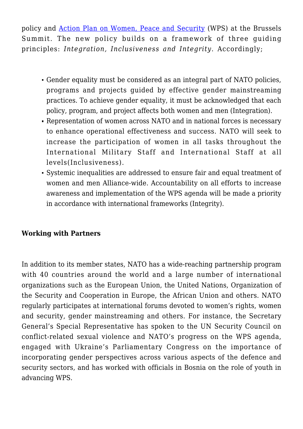policy and [Action Plan on Women, Peace and Security](https://www.nato.int/cps/en/natohq/topics_91091.htm) (WPS) at the Brussels Summit. The new policy builds on a framework of three guiding principles: *Integration, Inclusiveness and Integrity*. Accordingly;

- Gender equality must be considered as an integral part of NATO policies, programs and projects guided by effective gender mainstreaming practices. To achieve gender equality, it must be acknowledged that each policy, program, and project affects both women and men (Integration).
- Representation of women across NATO and in national forces is necessary to enhance operational effectiveness and success. NATO will seek to increase the participation of women in all tasks throughout the International Military Staff and International Staff at all levels(Inclusiveness).
- Systemic inequalities are addressed to ensure fair and equal treatment of women and men Alliance-wide. Accountability on all efforts to increase awareness and implementation of the WPS agenda will be made a priority in accordance with international frameworks (Integrity).

## **Working with Partners**

In addition to its member states, NATO has a wide-reaching partnership program with 40 countries around the world and a large number of international organizations such as the European Union, the United Nations, Organization of the Security and Cooperation in Europe, the African Union and others. NATO regularly participates at international forums devoted to women's rights, women and security, gender mainstreaming and others. For instance, the Secretary General's Special Representative has spoken to the UN Security Council on conflict-related sexual violence and NATO's progress on the WPS agenda, engaged with Ukraine's Parliamentary Congress on the importance of incorporating gender perspectives across various aspects of the defence and security sectors, and has worked with officials in Bosnia on the role of youth in advancing WPS.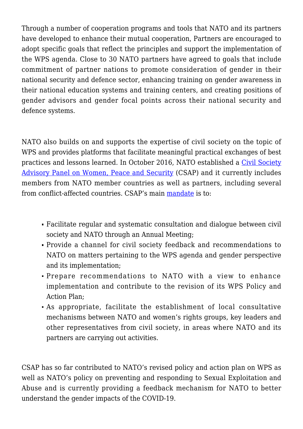Through a number of cooperation programs and tools that NATO and its partners have developed to enhance their mutual cooperation, Partners are encouraged to adopt specific goals that reflect the principles and support the implementation of the WPS agenda. Close to 30 NATO partners have agreed to goals that include commitment of partner nations to promote consideration of gender in their national security and defence sector, enhancing training on gender awareness in their national education systems and training centers, and creating positions of gender advisors and gender focal points across their national security and defence systems.

NATO also builds on and supports the expertise of civil society on the topic of WPS and provides platforms that facilitate meaningful practical exchanges of best practices and lessons learned. In October 2016, NATO established a [Civil Society](https://www.nato.int/cps/en/natohq/news_136119.htm) [Advisory Panel on Women, Peace and Security](https://www.nato.int/cps/en/natohq/news_136119.htm) (CSAP) and it currently includes members from NATO member countries as well as partners, including several from conflict-affected countries. CSAP's main [mandate](https://www.nato.int/nato_static_fl2014/assets/pdf/pdf_2016_10/20170309_161018-apwps-annual-mtg-rep.pdf) is to:

- Facilitate regular and systematic consultation and dialogue between civil society and NATO through an Annual Meeting;
- Provide a channel for civil society feedback and recommendations to NATO on matters pertaining to the WPS agenda and gender perspective and its implementation;
- Prepare recommendations to NATO with a view to enhance implementation and contribute to the revision of its WPS Policy and Action Plan;
- As appropriate, facilitate the establishment of local consultative mechanisms between NATO and women's rights groups, key leaders and other representatives from civil society, in areas where NATO and its partners are carrying out activities.

CSAP has so far contributed to NATO's revised policy and action plan on WPS as well as NATO's policy on preventing and responding to Sexual Exploitation and Abuse and is currently providing a feedback mechanism for NATO to better understand the gender impacts of the COVID-19.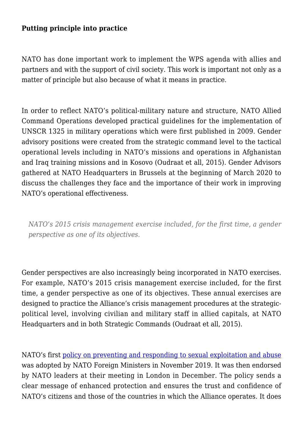## **Putting principle into practice**

NATO has done important work to implement the WPS agenda with allies and partners and with the support of civil society. This work is important not only as a matter of principle but also because of what it means in practice.

In order to reflect NATO's political-military nature and structure, NATO Allied Command Operations developed practical guidelines for the implementation of UNSCR 1325 in military operations which were first published in 2009. Gender advisory positions were created from the strategic command level to the tactical operational levels including in NATO's missions and operations in Afghanistan and Iraq training missions and in Kosovo (Oudraat et all, 2015). Gender Advisors gathered at NATO Headquarters in Brussels at the beginning of March 2020 to discuss the challenges they face and the importance of their work in improving NATO's operational effectiveness.

*NATO's 2015 crisis management exercise included, for the first time, a gender perspective as one of its objectives.*

Gender perspectives are also increasingly being incorporated in NATO exercises. For example, NATO's 2015 crisis management exercise included, for the first time, a gender perspective as one of its objectives. These annual exercises are designed to practice the Alliance's crisis management procedures at the strategicpolitical level, involving civilian and military staff in allied capitals, at NATO Headquarters and in both Strategic Commands (Oudraat et all, 2015).

NATO's first [policy on preventing and responding to sexual exploitation and abuse](https://www.nato.int/cps/en/natohq/news_173057.htm?selectedLocale=en) was adopted by NATO Foreign Ministers in November 2019. It was then endorsed by NATO leaders at their meeting in London in December. The policy sends a clear message of enhanced protection and ensures the trust and confidence of NATO's citizens and those of the countries in which the Alliance operates. It does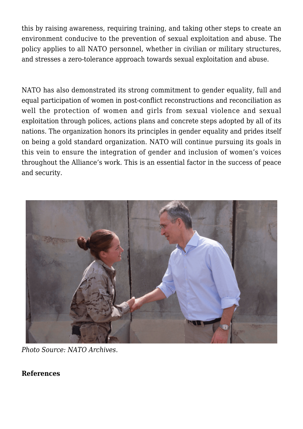this by raising awareness, requiring training, and taking other steps to create an environment conducive to the prevention of sexual exploitation and abuse. The policy applies to all NATO personnel, whether in civilian or military structures, and stresses a zero-tolerance approach towards sexual exploitation and abuse.

NATO has also demonstrated its strong commitment to gender equality, full and equal participation of women in post-conflict reconstructions and reconciliation as well the protection of women and girls from sexual violence and sexual exploitation through polices, actions plans and concrete steps adopted by all of its nations. The organization honors its principles in gender equality and prides itself on being a gold standard organization. NATO will continue pursuing its goals in this vein to ensure the integration of gender and inclusion of women's voices throughout the Alliance's work. This is an essential factor in the success of peace and security.



*Photo Source: NATO Archives.* 

## **References**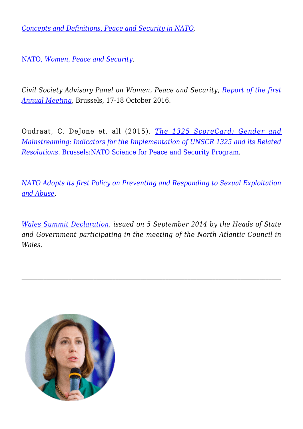*[Concepts and Definitions, Peace and Security in NATO](https://www.nato.int/nato_static_fl2014/assets/pdf/pdf_2019_07/20190709_1907-wps-glossary.pdf)*.

[NATO,](https://www.nato.int/cps/en/natohq/topics_91091.htm) *[Women, Peace and Security](https://www.nato.int/cps/en/natohq/topics_91091.htm)*.

*Civil Society Advisory Panel on Women, Peace and Security, [Report of the first](https://www.nato.int/nato_static_fl2014/assets/pdf/pdf_2016_10/20170309_161018-apwps-annual-mtg-rep.pdf) [Annual Meeting](https://www.nato.int/nato_static_fl2014/assets/pdf/pdf_2016_10/20170309_161018-apwps-annual-mtg-rep.pdf)*, Brussels, 17-18 October 2016.

Oudraat, C. DeJone et. all (2015). *[The 1325 ScoreCard; Gender and](Https://wiisglobal.org/wp-content/uploads/2014/02/UNSCR-1325-Scorecard-Final-Report.pdf.) [Mainstreaming: Indicators for the Implementation of UNSCR 1325 and its Related](Https://wiisglobal.org/wp-content/uploads/2014/02/UNSCR-1325-Scorecard-Final-Report.pdf.) [Resolutions](Https://wiisglobal.org/wp-content/uploads/2014/02/UNSCR-1325-Scorecard-Final-Report.pdf.)*[. Brussels:NATO Science for Peace and Security Program](Https://wiisglobal.org/wp-content/uploads/2014/02/UNSCR-1325-Scorecard-Final-Report.pdf.).

*[NATO Adopts its first Policy on Preventing and Responding to Sexual Exploitation](https://www.nato.int/cps/en/natohq/news_173057.htm?selectedLocale=en) [and Abuse](https://www.nato.int/cps/en/natohq/news_173057.htm?selectedLocale=en)*.

*[Wales Summit Declaration](https://www.nato.int/cps/en/natohq/official_texts_112964.htm)*, *issued on 5 September 2014 by the Heads of State and Government participating in the meeting of the North Atlantic Council in Wales*.